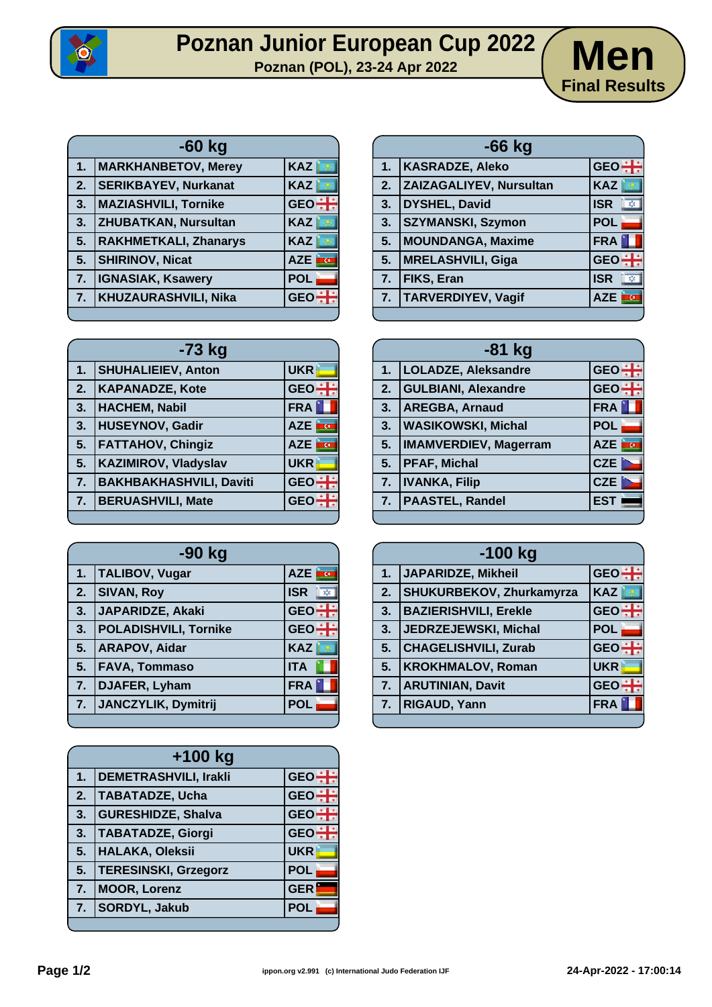

## **Poznan Junior European Cup 2022** / Men



| $-60$ kg |                              |                              |
|----------|------------------------------|------------------------------|
| 1.       | <b>MARKHANBETOV, Merey</b>   | KAZ                          |
| 2.       | <b>SERIKBAYEV, Nurkanat</b>  | <b>KAZ</b>                   |
| 3.       | <b>MAZIASHVILI, Tornike</b>  | GEO <sup></sup>              |
| 3.       | <b>ZHUBATKAN, Nursultan</b>  | <b>KAZ</b>                   |
| 5.       | <b>RAKHMETKALI, Zhanarys</b> | <b>KAZ</b>                   |
| 5.       | <b>SHIRINOV, Nicat</b>       | <b>AZE</b><br>$\overline{G}$ |
| 7.       | <b>IGNASIAK, Ksawery</b>     | <b>POL</b>                   |
| 7.       | <b>KHUZAURASHVILI, Nika</b>  | <b>GEC</b>                   |

| $-66$ kg |                           |                                    |
|----------|---------------------------|------------------------------------|
| 1.       | <b>KASRADZE, Aleko</b>    | $GEO +$                            |
| 2.       | ZAIZAGALIYEV, Nursultan   | <b>KAZ</b>                         |
| 3.       | <b>DYSHEL, David</b>      | <b>ISR</b><br>$\infty$             |
| 3.       | <b>SZYMANSKI, Szymon</b>  | <b>POL</b>                         |
| 5.       | <b>MOUNDANGA, Maxime</b>  | FRA                                |
| 5.       | <b>MRELASHVILI, Giga</b>  | GEO <sup>-</sup>                   |
| 7.       | FIKS, Eran                | <b>ISR</b><br>$\sqrt{\frac{1}{2}}$ |
| 7.       | <b>TARVERDIYEV, Vagif</b> | <b>AZE</b><br>œ.                   |
|          |                           |                                    |

| $-73$ kg |                                |                           |
|----------|--------------------------------|---------------------------|
| 1.       | <b>SHUHALIEIEV, Anton</b>      | <b>UKR</b>                |
| 2.       | <b>KAPANADZE, Kote</b>         | GEO <sup>+</sup>          |
| 3.       | <b>HACHEM, Nabil</b>           | <b>FRA</b>                |
| 3.       | <b>HUSEYNOV, Gadir</b>         | <b>AZE</b>                |
| 5.       | <b>FATTAHOV, Chingiz</b>       | <b>AZE</b><br><b>in C</b> |
| 5.       | <b>KAZIMIROV, Vladyslav</b>    | <b>UKR</b>                |
| 7.       | <b>BAKHBAKHASHVILI, Daviti</b> | <b>GEO</b>                |
| 7.       | <b>BERUASHVILI, Mate</b>       | <b>GE</b>                 |
|          |                                |                           |

| -90 kg |                              |                  |
|--------|------------------------------|------------------|
| 1.     | <b>TALIBOV, Vugar</b>        | AZE <b>TO</b>    |
| 2.     | <b>SIVAN, Roy</b>            | <b>ISR</b><br>X) |
| 3.     | JAPARIDZE, Akaki             | <b>GEO</b>       |
| 3.     | <b>POLADISHVILI, Tornike</b> | <b>GEO</b>       |
| 5.     | <b>ARAPOV, Aidar</b>         | <b>KAZ</b>       |
| 5.     | <b>FAVA, Tommaso</b>         | <b>ITA</b>       |
| 7.     | DJAFER, Lyham                | <b>FRA</b>       |
| 7.     | JANCZYLIK, Dymitrij          | <b>POL</b>       |
|        |                              |                  |

| $+100$ kg |                              |                 |
|-----------|------------------------------|-----------------|
| 1.        | <b>DEMETRASHVILI, Irakli</b> | <b>GEO</b>      |
| 2.        | <b>TABATADZE, Ucha</b>       | GEO <sup></sup> |
| 3.        | <b>GURESHIDZE, Shalva</b>    | <b>GEO</b>      |
| 3.        | <b>TABATADZE, Giorgi</b>     | GEO <sup></sup> |
| 5.        | <b>HALAKA, Oleksii</b>       | <b>UKR</b>      |
| 5.        | <b>TERESINSKI, Grzegorz</b>  | <b>POL</b>      |
| 7.        | <b>MOOR, Lorenz</b>          | <b>GER</b>      |
| 7.        | <b>SORDYL, Jakub</b>         | <b>POL</b>      |
|           |                              |                 |

| $-81$ kg |                            |                  |
|----------|----------------------------|------------------|
|          | 1.  LOLADZE, Aleksandre    | GEO - :          |
| 2.       | <b>GULBIANI, Alexandre</b> | GEO <sup>:</sup> |
| 3.       | <b>AREGBA, Arnaud</b>      | <b>FRA</b>       |
| 3.       | <b>WASIKOWSKI, Michal</b>  | <b>POL</b>       |
|          | 5.   IMAMVERDIEV, Magerram | AZE <b>TO</b>    |
|          | 5. PFAF, Michal            | <b>CZE</b>       |
|          | 7.  IVANKA, Filip          | CZE              |
|          | 7.   PAASTEL, Randel       | <b>EST</b>       |
|          |                            |                  |

| $-100$ kg |                                 |            |
|-----------|---------------------------------|------------|
| 1.        | JAPARIDZE, Mikheil              | $GEO +$    |
| 2.        | <b>SHUKURBEKOV, Zhurkamyrza</b> | <b>KAZ</b> |
| 3.        | <b>BAZIERISHVILI, Erekle</b>    | $GEO \div$ |
| 3.        | JEDRZEJEWSKI, Michal            | <b>POL</b> |
| 5.        | <b>CHAGELISHVILI, Zurab</b>     | $GEO +$    |
| 5.        | <b>KROKHMALOV, Roman</b>        | <b>UKR</b> |
| 7.        | <b>ARUTINIAN, Davit</b>         | $GEO +$    |
| 7.        | <b>RIGAUD, Yann</b>             | <b>FRA</b> |
|           |                                 |            |